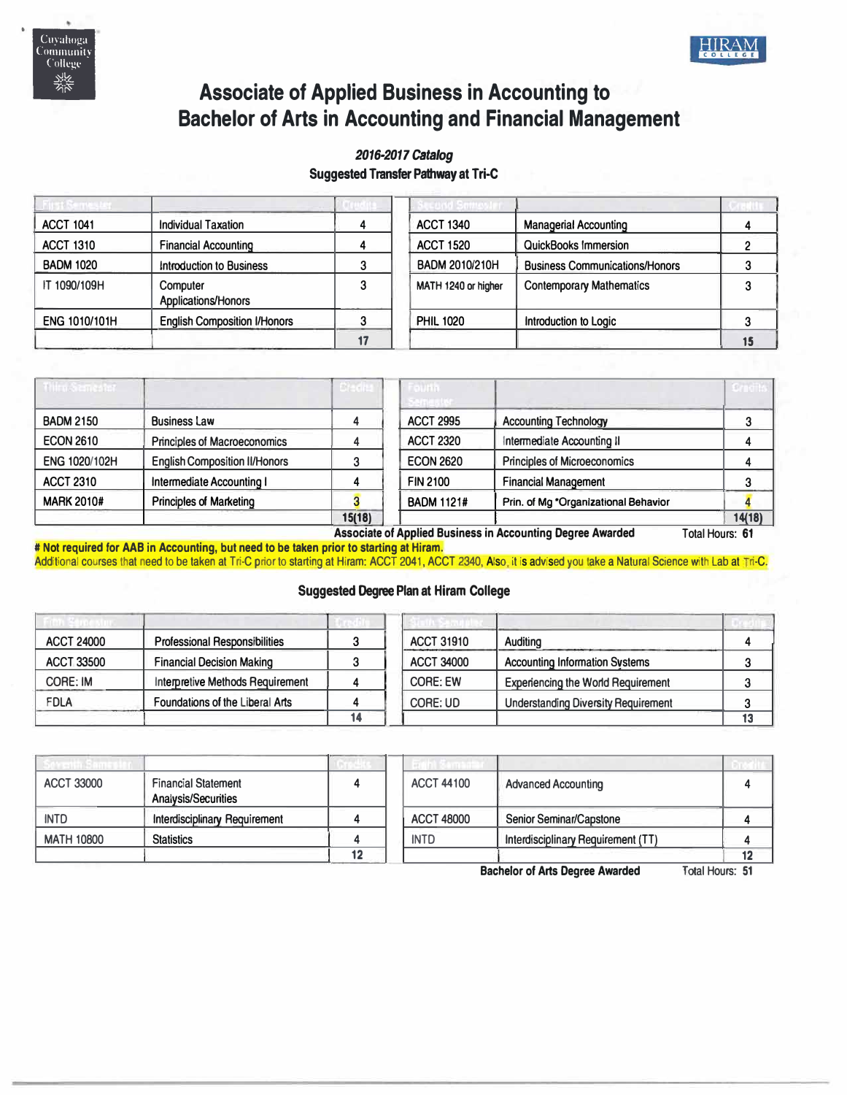



# **Associate of Applied Business in Accounting to Bachelor of Arts in Accounting and Financial Management**

## *2016-2017 catalog*  **Suggested Transfer Pathway at Tri-C**

| <b>ACCT 1041</b> | <b>Individual Taxation</b>          | <b>ACCT 1340</b>    | <b>Managerial Accounting</b>          |  |
|------------------|-------------------------------------|---------------------|---------------------------------------|--|
| <b>ACCT 1310</b> | <b>Financial Accounting</b>         | <b>ACCT 1520</b>    | <b>QuickBooks Immersion</b>           |  |
| <b>BADM 1020</b> | <b>Introduction to Business</b>     | BADM 2010/210H      | <b>Business Communications/Honors</b> |  |
| IT 1090/109H     | Computer<br>Applications/Honors     | MATH 1240 or higher | <b>Contemporary Mathematics</b>       |  |
| ENG 1010/101H    | <b>English Composition I/Honors</b> | <b>PHIL 1020</b>    | Introduction to Logic                 |  |
|                  |                                     |                     |                                       |  |

| <b>him Senester</b> |                                      | Credita | numin             |                                      |        |
|---------------------|--------------------------------------|---------|-------------------|--------------------------------------|--------|
| <b>BADM 2150</b>    | <b>Business Law</b>                  |         | <b>ACCT 2995</b>  | <b>Accounting Technology</b>         |        |
| <b>ECON 2610</b>    | <b>Principles of Macroeconomics</b>  |         | <b>ACCT 2320</b>  | Intermediate Accounting II           |        |
| ENG 1020/102H       | <b>English Composition II/Honors</b> |         | <b>ECON 2620</b>  | <b>Principles of Microeconomics</b>  |        |
| <b>ACCT 2310</b>    | Intermediate Accounting I            |         | <b>FIN 2100</b>   | <b>Financial Management</b>          |        |
| <b>MARK 2010#</b>   | <b>Principles of Marketing</b>       |         | <b>BADM 1121#</b> | Prin. of Mg *Organizational Behavior |        |
|                     |                                      | 15(18)  |                   |                                      | 14(18) |

**Associate of Applied Business in Accounting Degree Awarded** Total Hours: **61 # Not required for AAB in Accounting, but need to be taken prior to starting at Hiram.** 

Additional courses that need to be taken at Tri-C prior to starting at Hiram: ACCT 2041, ACCT 2340, Also, it is advised you take a Natural Science with Lab at Tri-C.

## **Suggested Degree Plan at Hiram College**

| <b>ACCT 24000</b> | <b>Professional Responsibilities</b> |    | <b>ACCT 31910</b> | Auditing                                   |  |
|-------------------|--------------------------------------|----|-------------------|--------------------------------------------|--|
| <b>ACCT 33500</b> | <b>Financial Decision Making</b>     |    | <b>ACCT 34000</b> | <b>Accounting Information Systems</b>      |  |
| CORE: IM          | Interpretive Methods Requirement     |    | <b>CORE: EW</b>   | <b>Experiencing the World Requirement</b>  |  |
| <b>FDLA</b>       | Foundations of the Liberal Arts      |    | CORE: UD          | <b>Understanding Diversity Requirement</b> |  |
|                   |                                      | 14 |                   |                                            |  |

| <b>ACCT 33000</b> | <b>Financial Statement</b><br><b>Analysis/Securities</b> |    | <b>ACCT 44100</b> | <b>Advanced Accounting</b>         |  |
|-------------------|----------------------------------------------------------|----|-------------------|------------------------------------|--|
| <b>INTD</b>       | <b>Interdisciplinary Requirement</b>                     |    | <b>ACCT 48000</b> | <b>Senior Seminar/Capstone</b>     |  |
| <b>MATH 10800</b> | <b>Statistics</b>                                        |    | <b>INTD</b>       | Interdisciplinary Requirement (TT) |  |
|                   |                                                          | 12 |                   |                                    |  |

**Bachelor of Arts Degree Awarded** Total Hours: **51**